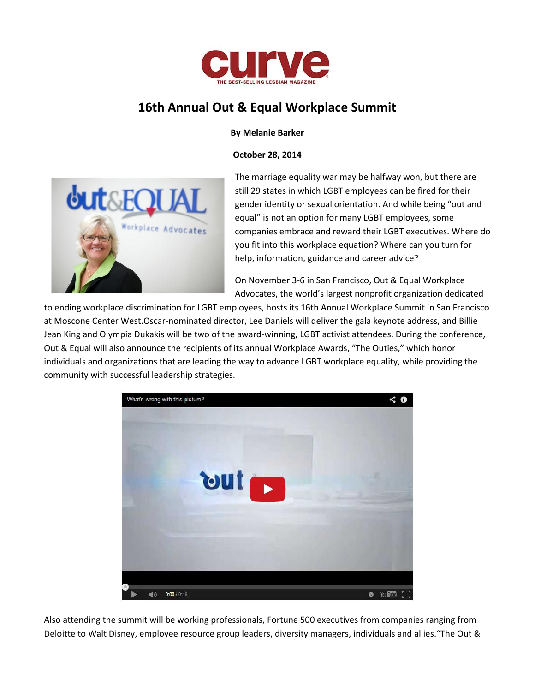

# **16th Annual Out & Equal Workplace Summit**

#### **By Melanie Barker**

**October 28, 2014**



The marriage equality war may be halfway won, but there are still 29 states in which LGBT employees can be fired for their gender identity or sexual orientation. And while being "out and equal" is not an option for many LGBT employees, some companies embrace and reward their LGBT executives. Where do you fit into this workplace equation? Where can you turn for help, information, guidance and career advice?

On November 3-6 in San Francisco, Out & Equal Workplace Advocates, the world's largest nonprofit organization dedicated

to ending workplace discrimination for LGBT employees, hosts its 16th Annual Workplace Summit in San Francisco at Moscone Center West.Oscar-nominated director, Lee Daniels will deliver the gala keynote address, and Billie Jean King and Olympia Dukakis will be two of the award-winning, LGBT activist attendees. During the conference, Out & Equal will also announce the recipients of its annual Workplace Awards, "The Outies," which honor individuals and organizations that are leading the way to advance LGBT workplace equality, while providing the community with successful leadership strategies.



Also attending the summit will be working professionals, Fortune 500 executives from companies ranging from Deloitte to Walt Disney, employee resource group leaders, diversity managers, individuals and allies."The Out &